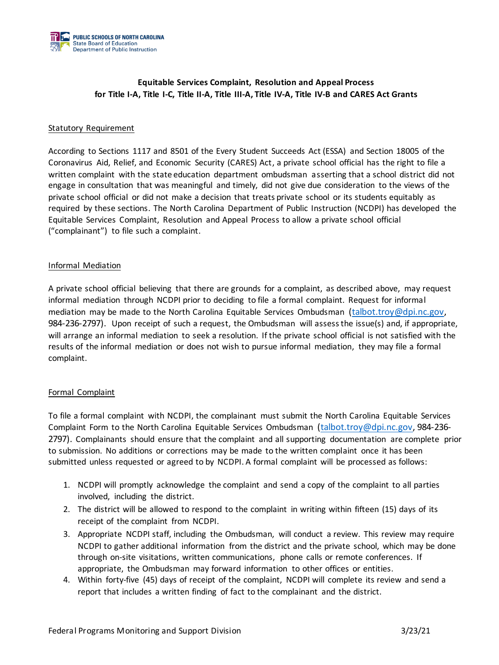

# **Equitable Services Complaint, Resolution and Appeal Process for Title I-A, Title I-C, Title II-A, Title III-A, Title IV-A, Title IV-B and CARES Act Grants**

### Statutory Requirement

According to Sections 1117 and 8501 of the Every Student Succeeds Act (ESSA) and Section 18005 of the Coronavirus Aid, Relief, and Economic Security (CARES) Act, a private school official has the right to file a written complaint with the state education department ombudsman asserting that a school district did not engage in consultation that was meaningful and timely, did not give due consideration to the views of the private school official or did not make a decision that treats private school or its students equitably as required by these sections. The North Carolina Department of Public Instruction (NCDPI) has developed the Equitable Services Complaint, Resolution and Appeal Process to allow a private school official ("complainant") to file such a complaint.

## Informal Mediation

A private school official believing that there are grounds for a complaint, as described above, may request informal mediation through NCDPI prior to deciding to file a formal complaint. Request for informal mediation may be made to the North Carolina Equitable Services Ombudsman [\(talbot.troy@dpi.nc.gov,](mailto:talbot.troy@dpi.nc.gov) 984-236-2797). Upon receipt of such a request, the Ombudsman will assess the issue(s) and, if appropriate, will arrange an informal mediation to seek a resolution. If the private school official is not satisfied with the results of the informal mediation or does not wish to pursue informal mediation, they may file a formal complaint.

# Formal Complaint

To file a formal complaint with NCDPI, the complainant must submit the North Carolina Equitable Services Complaint Form to the North Carolina Equitable Services Ombudsman [\(talbot.troy@dpi.nc.gov,](mailto:talbot.troy@dpi.nc.gov) 984-236- 2797). Complainants should ensure that the complaint and all supporting documentation are complete prior to submission. No additions or corrections may be made to the written complaint once it has been submitted unless requested or agreed to by NCDPI. A formal complaint will be processed as follows:

- 1. NCDPI will promptly acknowledge the complaint and send a copy of the complaint to all parties involved, including the district.
- 2. The district will be allowed to respond to the complaint in writing within fifteen (15) days of its receipt of the complaint from NCDPI.
- 3. Appropriate NCDPI staff, including the Ombudsman, will conduct a review. This review may require NCDPI to gather additional information from the district and the private school, which may be done through on-site visitations, written communications, phone calls or remote conferences. If appropriate, the Ombudsman may forward information to other offices or entities.
- 4. Within forty-five (45) days of receipt of the complaint, NCDPI will complete its review and send a report that includes a written finding of fact to the complainant and the district.